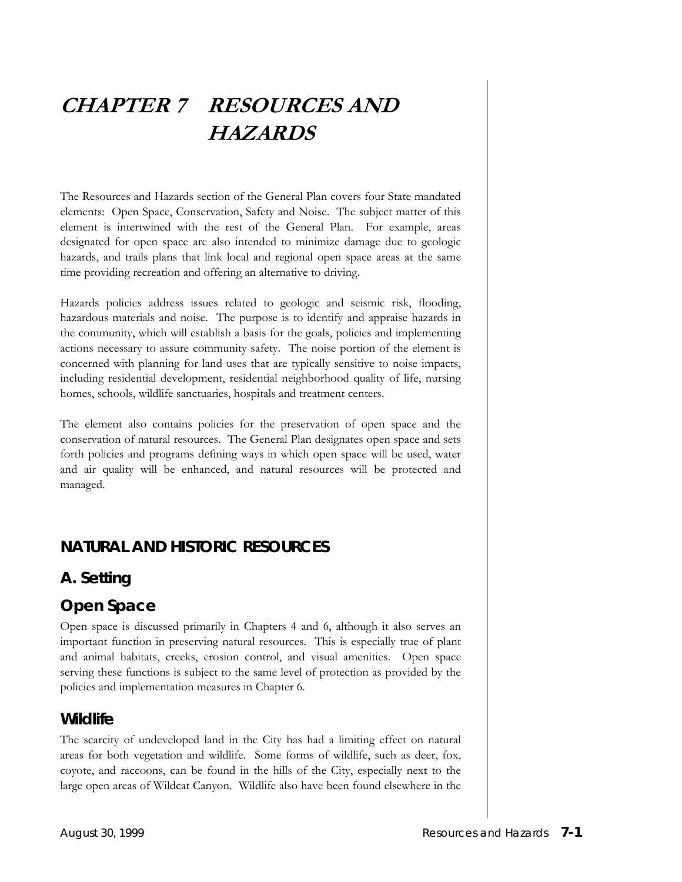# **CHAPTER 7 RESOURCES AND HAZARDS**

The Resources and Hazards section of the General Plan covers four State mandated elements: Open Space, Conservation, Safety and Noise. The subject matter of this element is intertwined with the rest of the General Plan. For example, areas designated for open space are also intended to minimize damage due to geologic hazards, and trails plans that link local and regional open space areas at the same time providing recreation and offering an alternative to driving.

Hazards policies address issues related to geologic and seismic risk, flooding, hazardous materials and noise. The purpose is to identify and appraise hazards in the community, which will establish a basis for the goals, policies and implementing actions necessary to assure community safety. The noise portion of the element is concerned with planning for land uses that are typically sensitive to noise impacts, including residential development, residential neighborhood quality of life, nursing homes, schools, wildlife sanctuaries, hospitals and treatment centers.

The element also contains policies for the preservation of open space and the conservation of natural resources. The General Plan designates open space and sets forth policies and programs defining ways in which open space will be used, water and air quality will be enhanced, and natural resources will be protected and managed.

## **NATURAL AND HISTORIC RESOURCES**

## **A. Setting**

## *Open Space*

Open space is discussed primarily in Chapters 4 and 6, although it also serves an important function in preserving natural resources. This is especially true of plant and animal habitats, creeks, erosion control, and visual amenities. Open space serving these functions is subject to the same level of protection as provided by the policies and implementation measures in Chapter 6.

## *Wildlife*

The scarcity of undeveloped land in the City has had a limiting effect on natural areas for both vegetation and wildlife. Some forms of wildlife, such as deer, fox, coyote, and raccoons, can be found in the hills of the City, especially next to the large open areas of Wildcat Canyon. Wildlife also have been found elsewhere in the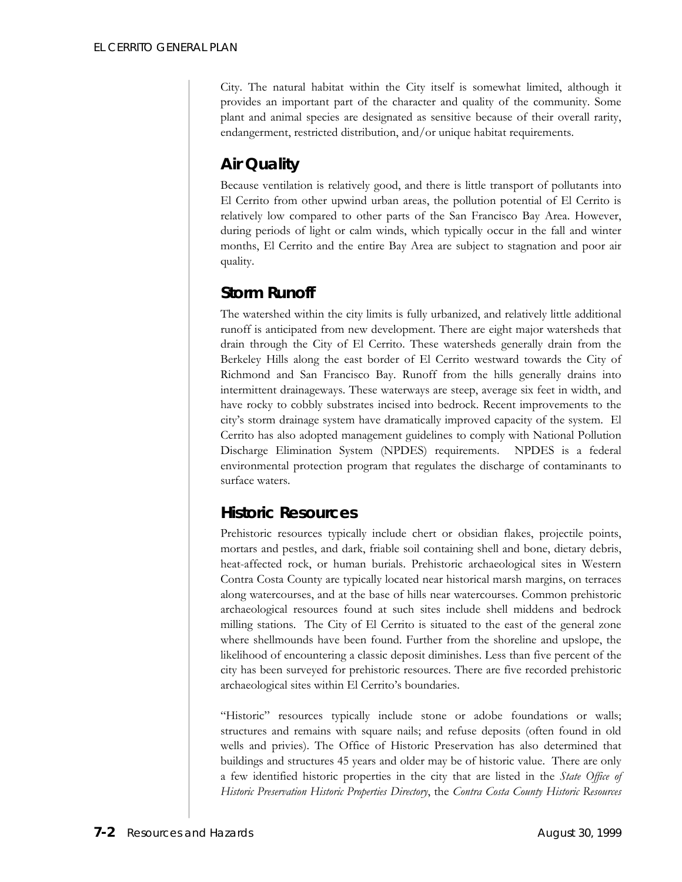City. The natural habitat within the City itself is somewhat limited, although it provides an important part of the character and quality of the community. Some plant and animal species are designated as sensitive because of their overall rarity, endangerment, restricted distribution, and/or unique habitat requirements.

## *Air Quality*

Because ventilation is relatively good, and there is little transport of pollutants into El Cerrito from other upwind urban areas, the pollution potential of El Cerrito is relatively low compared to other parts of the San Francisco Bay Area. However, during periods of light or calm winds, which typically occur in the fall and winter months, El Cerrito and the entire Bay Area are subject to stagnation and poor air quality.

## *Storm Runoff*

The watershed within the city limits is fully urbanized, and relatively little additional runoff is anticipated from new development. There are eight major watersheds that drain through the City of El Cerrito. These watersheds generally drain from the Berkeley Hills along the east border of El Cerrito westward towards the City of Richmond and San Francisco Bay. Runoff from the hills generally drains into intermittent drainageways. These waterways are steep, average six feet in width, and have rocky to cobbly substrates incised into bedrock. Recent improvements to the city's storm drainage system have dramatically improved capacity of the system. El Cerrito has also adopted management guidelines to comply with National Pollution Discharge Elimination System (NPDES) requirements. NPDES is a federal environmental protection program that regulates the discharge of contaminants to surface waters.

## *Historic Resources*

Prehistoric resources typically include chert or obsidian flakes, projectile points, mortars and pestles, and dark, friable soil containing shell and bone, dietary debris, heat-affected rock, or human burials. Prehistoric archaeological sites in Western Contra Costa County are typically located near historical marsh margins, on terraces along watercourses, and at the base of hills near watercourses. Common prehistoric archaeological resources found at such sites include shell middens and bedrock milling stations. The City of El Cerrito is situated to the east of the general zone where shellmounds have been found. Further from the shoreline and upslope, the likelihood of encountering a classic deposit diminishes. Less than five percent of the city has been surveyed for prehistoric resources. There are five recorded prehistoric archaeological sites within El Cerrito's boundaries.

"Historic" resources typically include stone or adobe foundations or walls; structures and remains with square nails; and refuse deposits (often found in old wells and privies). The Office of Historic Preservation has also determined that buildings and structures 45 years and older may be of historic value. There are only a few identified historic properties in the city that are listed in the *State Office of Historic Preservation Historic Properties Directory*, the *Contra Costa County Historic Resources*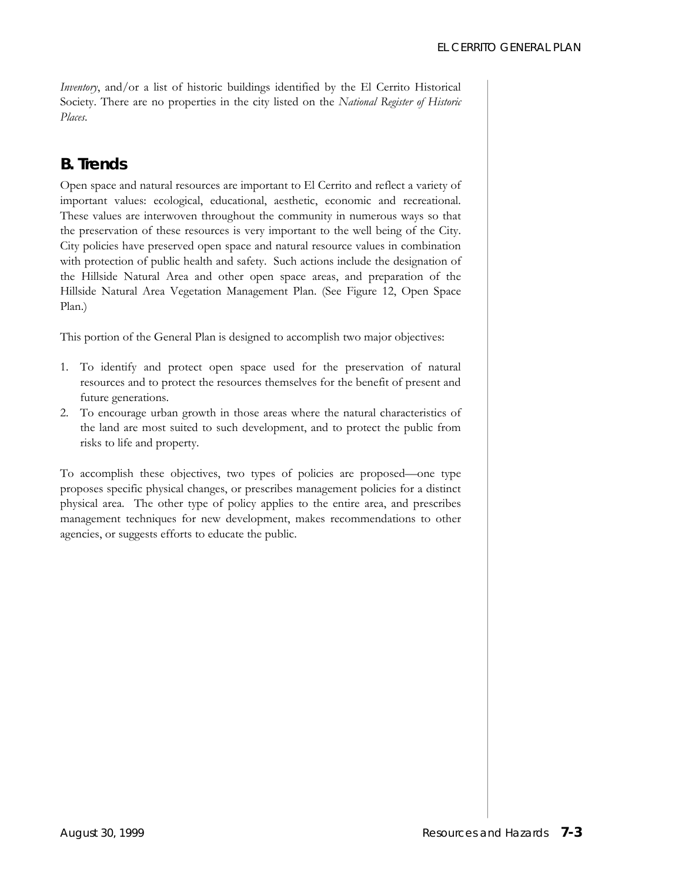*Inventory*, and/or a list of historic buildings identified by the El Cerrito Historical Society. There are no properties in the city listed on the *National Register of Historic Places*.

## **B. Trends**

Open space and natural resources are important to El Cerrito and reflect a variety of important values: ecological, educational, aesthetic, economic and recreational. These values are interwoven throughout the community in numerous ways so that the preservation of these resources is very important to the well being of the City. City policies have preserved open space and natural resource values in combination with protection of public health and safety. Such actions include the designation of the Hillside Natural Area and other open space areas, and preparation of the Hillside Natural Area Vegetation Management Plan. (See Figure 12, Open Space Plan.)

This portion of the General Plan is designed to accomplish two major objectives:

- 1. To identify and protect open space used for the preservation of natural resources and to protect the resources themselves for the benefit of present and future generations.
- 2. To encourage urban growth in those areas where the natural characteristics of the land are most suited to such development, and to protect the public from risks to life and property.

To accomplish these objectives, two types of policies are proposed––one type proposes specific physical changes, or prescribes management policies for a distinct physical area. The other type of policy applies to the entire area, and prescribes management techniques for new development, makes recommendations to other agencies, or suggests efforts to educate the public.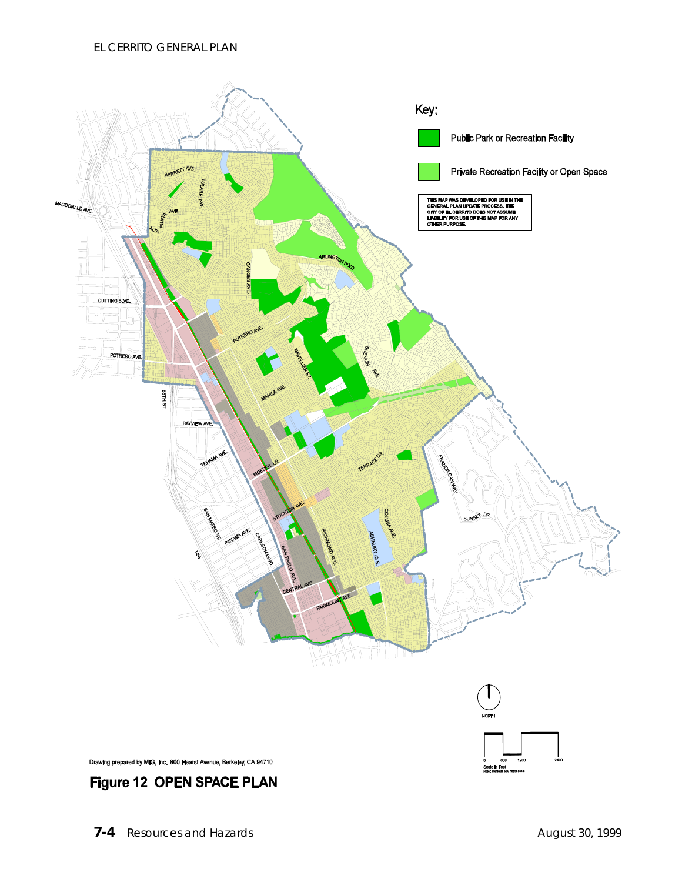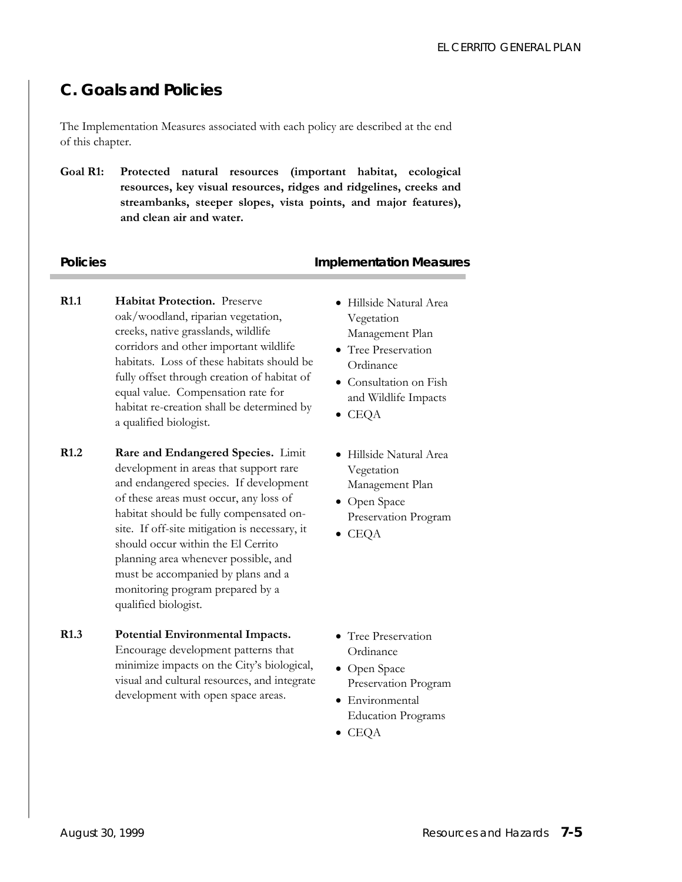## **C. Goals and Policies**

The Implementation Measures associated with each policy are described at the end of this chapter.

**Goal R1: Protected natural resources (important habitat, ecological resources, key visual resources, ridges and ridgelines, creeks and streambanks, steeper slopes, vista points, and major features), and clean air and water.** 

### **Policies Policies Policies Policies Policies Policies Policies Policies Policies Policies Policies Policies Policies Policies Policies Policies Policies Policies Policies Policies P**

- **R1.1 Habitat Protection.** Preserve oak/woodland, riparian vegetation, creeks, native grasslands, wildlife corridors and other important wildlife habitats. Loss of these habitats should be fully offset through creation of habitat of equal value. Compensation rate for habitat re-creation shall be determined by a qualified biologist.
- **R1.2 Rare and Endangered Species.** Limit development in areas that support rare and endangered species. If development of these areas must occur, any loss of habitat should be fully compensated onsite. If off-site mitigation is necessary, it should occur within the El Cerrito planning area whenever possible, and must be accompanied by plans and a monitoring program prepared by a qualified biologist.
- **R1.3 Potential Environmental Impacts.** Encourage development patterns that minimize impacts on the City's biological, visual and cultural resources, and integrate development with open space areas.
- Hillside Natural Area Vegetation Management Plan
- Tree Preservation Ordinance
- Consultation on Fish and Wildlife Impacts
- CEQA
- Hillside Natural Area Vegetation Management Plan
- Open Space Preservation Program
- CEQA
- Tree Preservation **Ordinance**
- Open Space Preservation Program
- Environmental Education Programs
- CEQA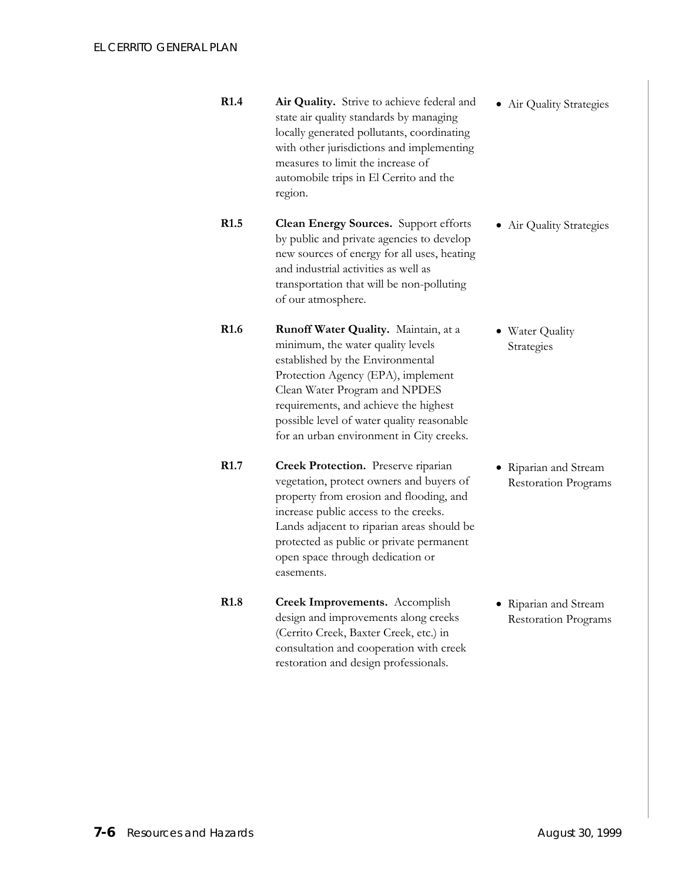**R1.4 Air Quality.** Strive to achieve federal and state air quality standards by managing locally generated pollutants, coordinating with other jurisdictions and implementing measures to limit the increase of automobile trips in El Cerrito and the region. • Air Quality Strategies

**R1.5 Clean Energy Sources.** Support efforts by public and private agencies to develop new sources of energy for all uses, heating and industrial activities as well as transportation that will be non-polluting of our atmosphere.

**R1.6 Runoff Water Quality.** Maintain, at a minimum, the water quality levels established by the Environmental Protection Agency (EPA), implement Clean Water Program and NPDES requirements, and achieve the highest possible level of water quality reasonable for an urban environment in City creeks.

**R1.7 Creek Protection.** Preserve riparian vegetation, protect owners and buyers of property from erosion and flooding, and increase public access to the creeks. Lands adjacent to riparian areas should be protected as public or private permanent open space through dedication or easements.

**R1.8 Creek Improvements.** Accomplish design and improvements along creeks (Cerrito Creek, Baxter Creek, etc.) in consultation and cooperation with creek restoration and design professionals.

• Air Quality Strategies

• Water Quality Strategies

• Riparian and Stream Restoration Programs

• Riparian and Stream Restoration Programs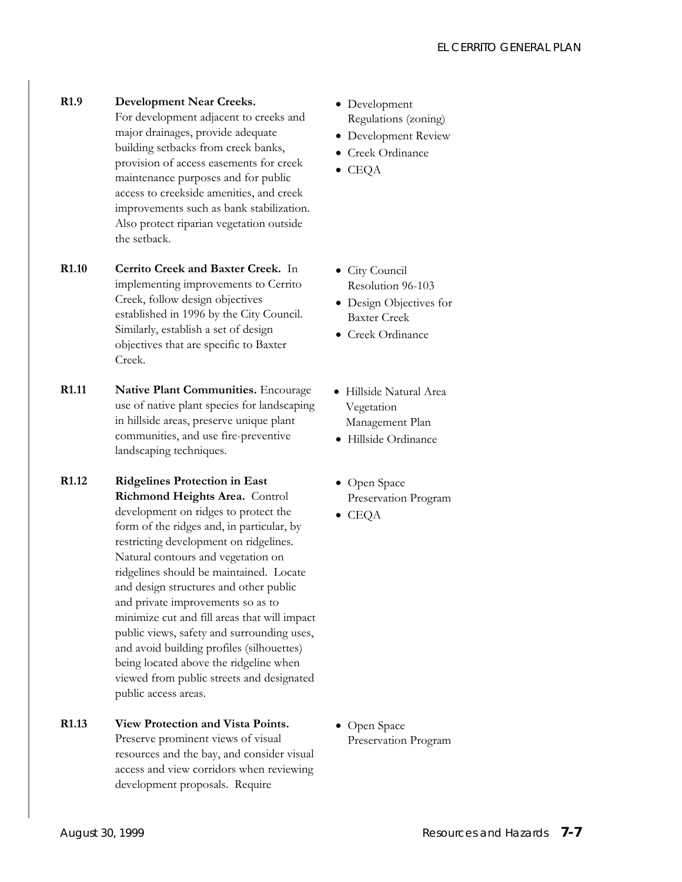**R1.9 Development Near Creeks.** 

For development adjacent to creeks and major drainages, provide adequate building setbacks from creek banks, provision of access easements for creek maintenance purposes and for public access to creekside amenities, and creek improvements such as bank stabilization. Also protect riparian vegetation outside the setback.

- **R1.10 Cerrito Creek and Baxter Creek.** In implementing improvements to Cerrito Creek, follow design objectives established in 1996 by the City Council. Similarly, establish a set of design objectives that are specific to Baxter Creek.
- **R1.11 Native Plant Communities.** Encourage use of native plant species for landscaping in hillside areas, preserve unique plant communities, and use fire-preventive landscaping techniques.
- **R1.12 Ridgelines Protection in East Richmond Heights Area.** Control development on ridges to protect the form of the ridges and, in particular, by restricting development on ridgelines. Natural contours and vegetation on ridgelines should be maintained. Locate and design structures and other public and private improvements so as to minimize cut and fill areas that will impact public views, safety and surrounding uses, and avoid building profiles (silhouettes) being located above the ridgeline when viewed from public streets and designated public access areas.
- **R1.13 View Protection and Vista Points.** Preserve prominent views of visual
	- resources and the bay, and consider visual access and view corridors when reviewing development proposals. Require
- Development Regulations (zoning)
- Development Review
- Creek Ordinance
- CEQA
- City Council Resolution 96-103
- Design Objectives for Baxter Creek
- Creek Ordinance
- Hillside Natural Area Vegetation Management Plan
- Hillside Ordinance
- Open Space Preservation Program
- CEQA

• Open Space Preservation Program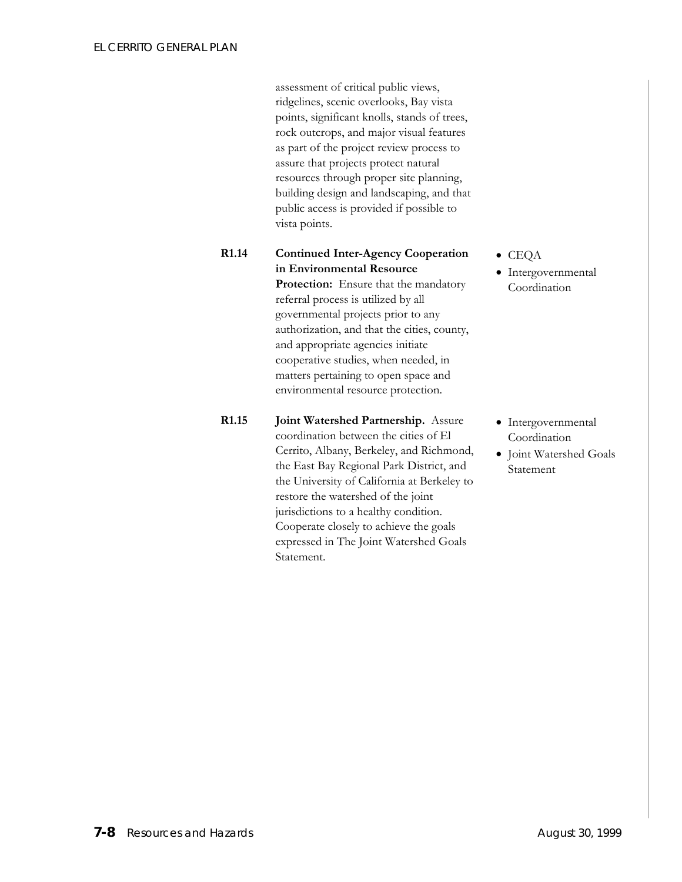assessment of critical public views, ridgelines, scenic overlooks, Bay vista points, significant knolls, stands of trees, rock outcrops, and major visual features as part of the project review process to assure that projects protect natural resources through proper site planning, building design and landscaping, and that public access is provided if possible to vista points.

### **R1.14 Continued Inter-Agency Cooperation in Environmental Resource Protection:** Ensure that the mandatory referral process is utilized by all governmental projects prior to any authorization, and that the cities, county, and appropriate agencies initiate cooperative studies, when needed, in matters pertaining to open space and environmental resource protection.

**R1.15 Joint Watershed Partnership.** Assure coordination between the cities of El Cerrito, Albany, Berkeley, and Richmond, the East Bay Regional Park District, and the University of California at Berkeley to restore the watershed of the joint jurisdictions to a healthy condition. Cooperate closely to achieve the goals expressed in The Joint Watershed Goals Statement.

#### • CEQA

• Intergovernmental Coordination

- Intergovernmental Coordination
- Joint Watershed Goals Statement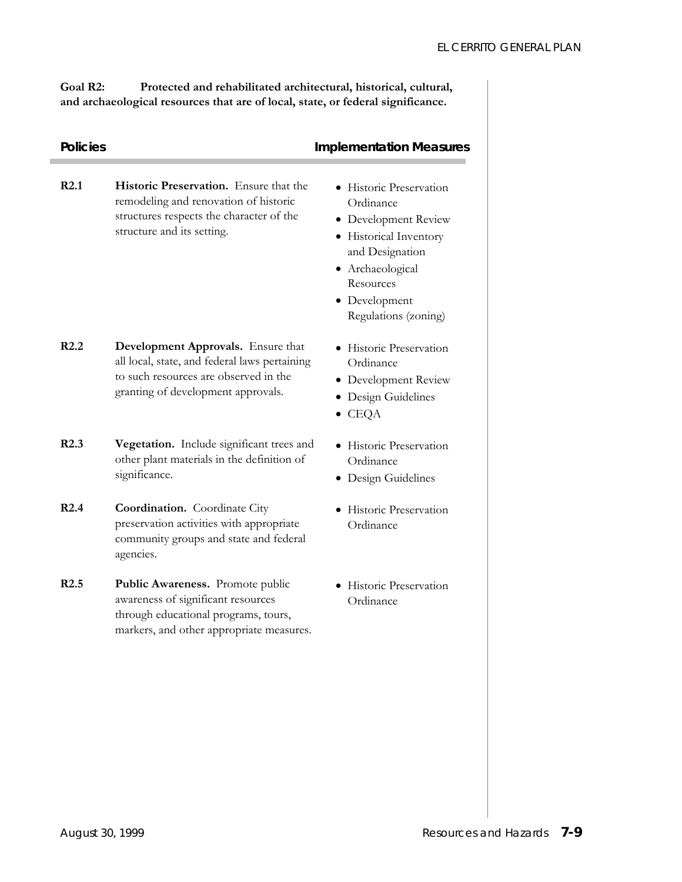**Goal R2: Protected and rehabilitated architectural, historical, cultural, and archaeological resources that are of local, state, or federal significance.** 

| <b>Policies</b> |                                                                                                                                                                    | <b>Implementation Measures</b>                                                                                                                                                      |
|-----------------|--------------------------------------------------------------------------------------------------------------------------------------------------------------------|-------------------------------------------------------------------------------------------------------------------------------------------------------------------------------------|
| R2.1            | Historic Preservation. Ensure that the<br>remodeling and renovation of historic<br>structures respects the character of the<br>structure and its setting.          | • Historic Preservation<br>Ordinance<br>• Development Review<br>• Historical Inventory<br>and Designation<br>• Archaeological<br>Resources<br>• Development<br>Regulations (zoning) |
| R2.2            | Development Approvals. Ensure that<br>all local, state, and federal laws pertaining<br>to such resources are observed in the<br>granting of development approvals. | • Historic Preservation<br>Ordinance<br>• Development Review<br>• Design Guidelines<br>$\bullet$ CEQA                                                                               |
| R2.3            | Vegetation. Include significant trees and<br>other plant materials in the definition of<br>significance.                                                           | • Historic Preservation<br>Ordinance<br>• Design Guidelines                                                                                                                         |
| R2.4            | <b>Coordination.</b> Coordinate City<br>preservation activities with appropriate<br>community groups and state and federal<br>agencies.                            | Historic Preservation<br>Ordinance                                                                                                                                                  |
| R2.5            | Public Awareness. Promote public<br>awareness of significant resources<br>through educational programs, tours,<br>markers, and other appropriate measures.         | • Historic Preservation<br>Ordinance                                                                                                                                                |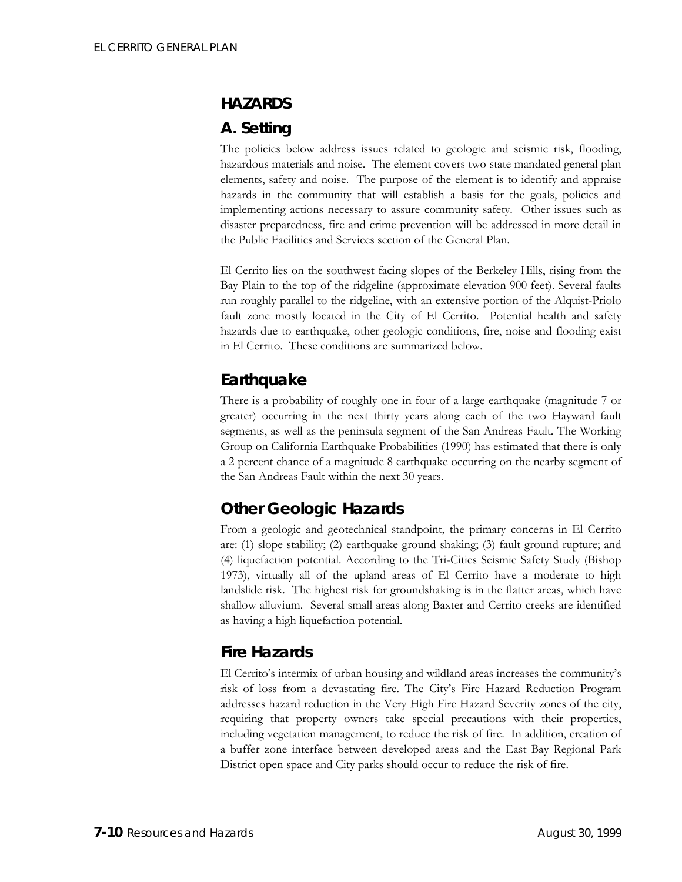## **HAZARDS**

## **A. Setting**

The policies below address issues related to geologic and seismic risk, flooding, hazardous materials and noise. The element covers two state mandated general plan elements, safety and noise. The purpose of the element is to identify and appraise hazards in the community that will establish a basis for the goals, policies and implementing actions necessary to assure community safety. Other issues such as disaster preparedness, fire and crime prevention will be addressed in more detail in the Public Facilities and Services section of the General Plan.

El Cerrito lies on the southwest facing slopes of the Berkeley Hills, rising from the Bay Plain to the top of the ridgeline (approximate elevation 900 feet). Several faults run roughly parallel to the ridgeline, with an extensive portion of the Alquist-Priolo fault zone mostly located in the City of El Cerrito. Potential health and safety hazards due to earthquake, other geologic conditions, fire, noise and flooding exist in El Cerrito. These conditions are summarized below.

## *Earthquake*

There is a probability of roughly one in four of a large earthquake (magnitude 7 or greater) occurring in the next thirty years along each of the two Hayward fault segments, as well as the peninsula segment of the San Andreas Fault. The Working Group on California Earthquake Probabilities (1990) has estimated that there is only a 2 percent chance of a magnitude 8 earthquake occurring on the nearby segment of the San Andreas Fault within the next 30 years.

## *Other Geologic Hazards*

From a geologic and geotechnical standpoint, the primary concerns in El Cerrito are: (1) slope stability; (2) earthquake ground shaking; (3) fault ground rupture; and (4) liquefaction potential. According to the Tri-Cities Seismic Safety Study (Bishop 1973), virtually all of the upland areas of El Cerrito have a moderate to high landslide risk. The highest risk for groundshaking is in the flatter areas, which have shallow alluvium. Several small areas along Baxter and Cerrito creeks are identified as having a high liquefaction potential.

## *Fire Hazards*

El Cerrito's intermix of urban housing and wildland areas increases the community's risk of loss from a devastating fire. The City's Fire Hazard Reduction Program addresses hazard reduction in the Very High Fire Hazard Severity zones of the city, requiring that property owners take special precautions with their properties, including vegetation management, to reduce the risk of fire. In addition, creation of a buffer zone interface between developed areas and the East Bay Regional Park District open space and City parks should occur to reduce the risk of fire.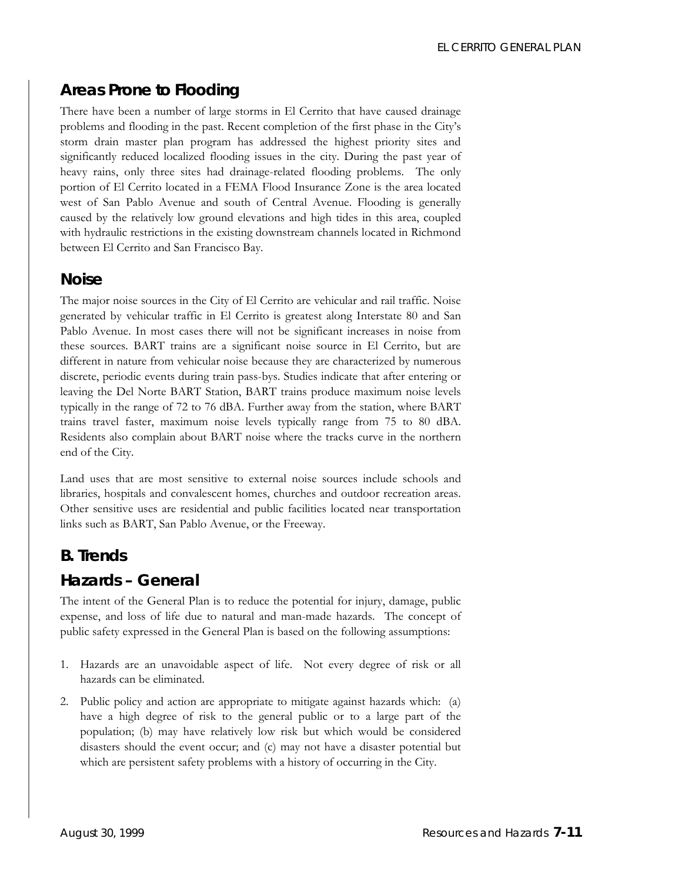## *Areas Prone to Flooding*

There have been a number of large storms in El Cerrito that have caused drainage problems and flooding in the past. Recent completion of the first phase in the City's storm drain master plan program has addressed the highest priority sites and significantly reduced localized flooding issues in the city. During the past year of heavy rains, only three sites had drainage-related flooding problems. The only portion of El Cerrito located in a FEMA Flood Insurance Zone is the area located west of San Pablo Avenue and south of Central Avenue. Flooding is generally caused by the relatively low ground elevations and high tides in this area, coupled with hydraulic restrictions in the existing downstream channels located in Richmond between El Cerrito and San Francisco Bay.

## *Noise*

The major noise sources in the City of El Cerrito are vehicular and rail traffic. Noise generated by vehicular traffic in El Cerrito is greatest along Interstate 80 and San Pablo Avenue. In most cases there will not be significant increases in noise from these sources. BART trains are a significant noise source in El Cerrito, but are different in nature from vehicular noise because they are characterized by numerous discrete, periodic events during train pass-bys. Studies indicate that after entering or leaving the Del Norte BART Station, BART trains produce maximum noise levels typically in the range of 72 to 76 dBA. Further away from the station, where BART trains travel faster, maximum noise levels typically range from 75 to 80 dBA. Residents also complain about BART noise where the tracks curve in the northern end of the City.

Land uses that are most sensitive to external noise sources include schools and libraries, hospitals and convalescent homes, churches and outdoor recreation areas. Other sensitive uses are residential and public facilities located near transportation links such as BART, San Pablo Avenue, or the Freeway.

## **B. Trends**

## *Hazards – General*

The intent of the General Plan is to reduce the potential for injury, damage, public expense, and loss of life due to natural and man-made hazards. The concept of public safety expressed in the General Plan is based on the following assumptions:

- 1. Hazards are an unavoidable aspect of life. Not every degree of risk or all hazards can be eliminated.
- 2. Public policy and action are appropriate to mitigate against hazards which: (a) have a high degree of risk to the general public or to a large part of the population; (b) may have relatively low risk but which would be considered disasters should the event occur; and (c) may not have a disaster potential but which are persistent safety problems with a history of occurring in the City.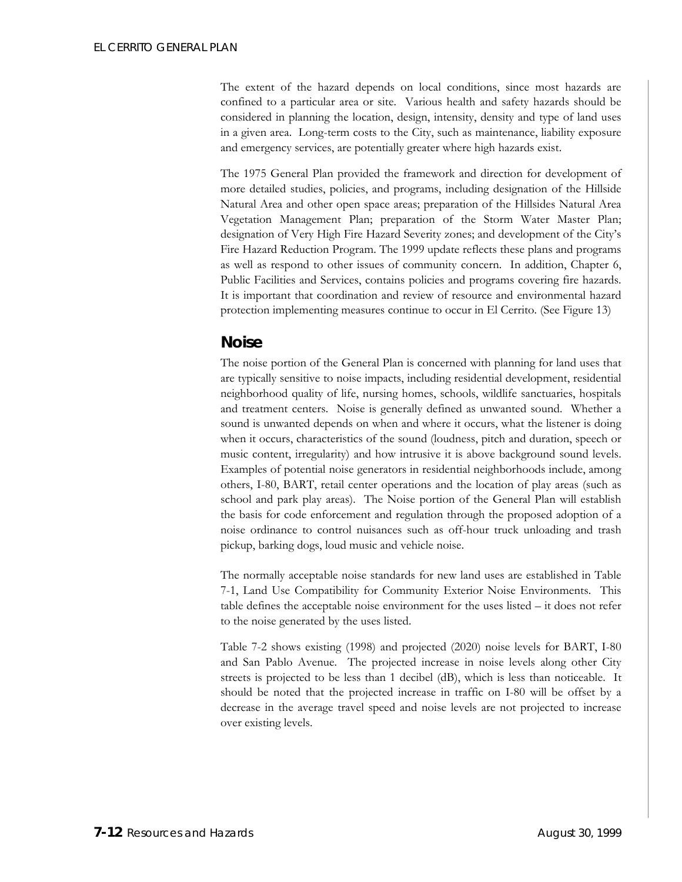The extent of the hazard depends on local conditions, since most hazards are confined to a particular area or site. Various health and safety hazards should be considered in planning the location, design, intensity, density and type of land uses in a given area. Long-term costs to the City, such as maintenance, liability exposure and emergency services, are potentially greater where high hazards exist.

The 1975 General Plan provided the framework and direction for development of more detailed studies, policies, and programs, including designation of the Hillside Natural Area and other open space areas; preparation of the Hillsides Natural Area Vegetation Management Plan; preparation of the Storm Water Master Plan; designation of Very High Fire Hazard Severity zones; and development of the City's Fire Hazard Reduction Program. The 1999 update reflects these plans and programs as well as respond to other issues of community concern. In addition, Chapter 6, Public Facilities and Services, contains policies and programs covering fire hazards. It is important that coordination and review of resource and environmental hazard protection implementing measures continue to occur in El Cerrito. (See Figure 13)

## *Noise*

The noise portion of the General Plan is concerned with planning for land uses that are typically sensitive to noise impacts, including residential development, residential neighborhood quality of life, nursing homes, schools, wildlife sanctuaries, hospitals and treatment centers. Noise is generally defined as unwanted sound. Whether a sound is unwanted depends on when and where it occurs, what the listener is doing when it occurs, characteristics of the sound (loudness, pitch and duration, speech or music content, irregularity) and how intrusive it is above background sound levels. Examples of potential noise generators in residential neighborhoods include, among others, I-80, BART, retail center operations and the location of play areas (such as school and park play areas). The Noise portion of the General Plan will establish the basis for code enforcement and regulation through the proposed adoption of a noise ordinance to control nuisances such as off-hour truck unloading and trash pickup, barking dogs, loud music and vehicle noise.

The normally acceptable noise standards for new land uses are established in Table 7-1, Land Use Compatibility for Community Exterior Noise Environments. This table defines the acceptable noise environment for the uses listed – it does not refer to the noise generated by the uses listed.

Table 7-2 shows existing (1998) and projected (2020) noise levels for BART, I-80 and San Pablo Avenue. The projected increase in noise levels along other City streets is projected to be less than 1 decibel (dB), which is less than noticeable. It should be noted that the projected increase in traffic on I-80 will be offset by a decrease in the average travel speed and noise levels are not projected to increase over existing levels.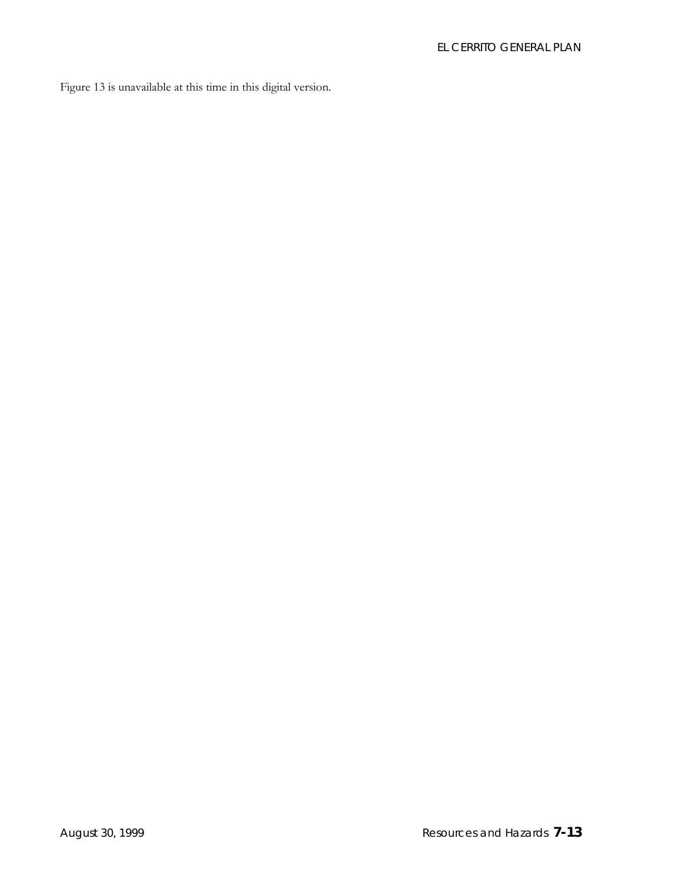Figure 13 is unavailable at this time in this digital version.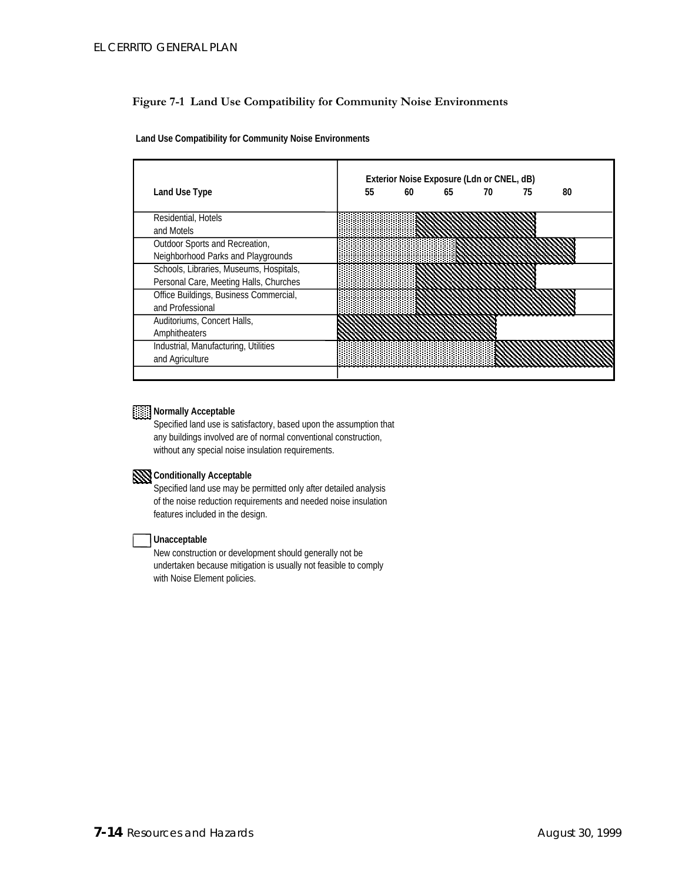#### **Figure 7-1 Land Use Compatibility for Community Noise Environments**

**Land Use Compatibility for Community Noise Environments**

|                                         | Exterior Noise Exposure (Ldn or CNEL, dB) |    |    |    |    |    |  |
|-----------------------------------------|-------------------------------------------|----|----|----|----|----|--|
| Land Use Type                           | 55                                        | 60 | 65 | 70 | 75 | 80 |  |
| Residential, Hotels                     |                                           |    |    |    |    |    |  |
| and Motels                              |                                           |    |    |    |    |    |  |
| Outdoor Sports and Recreation,          |                                           |    |    |    |    |    |  |
| Neighborhood Parks and Playgrounds      |                                           |    |    |    |    |    |  |
| Schools, Libraries, Museums, Hospitals, |                                           |    |    |    |    |    |  |
| Personal Care, Meeting Halls, Churches  |                                           |    |    |    |    |    |  |
| Office Buildings, Business Commercial,  |                                           |    |    |    |    |    |  |
| and Professional                        |                                           |    |    |    |    |    |  |
| Auditoriums, Concert Halls,             |                                           |    |    |    |    |    |  |
| Amphitheaters                           |                                           |    |    |    |    |    |  |
| Industrial, Manufacturing, Utilities    |                                           |    |    |    |    |    |  |
| and Agriculture                         |                                           |    |    |    |    |    |  |
|                                         |                                           |    |    |    |    |    |  |

### **Normally Acceptable**

Specified land use is satisfactory, based upon the assumption that any buildings involved are of normal conventional construction, without any special noise insulation requirements.

### **Conditionally Acceptable**

Specified land use may be permitted only after detailed analysis of the noise reduction requirements and needed noise insulation features included in the design.

#### **Unacceptable**

New construction or development should generally not be undertaken because mitigation is usually not feasible to comply with Noise Element policies.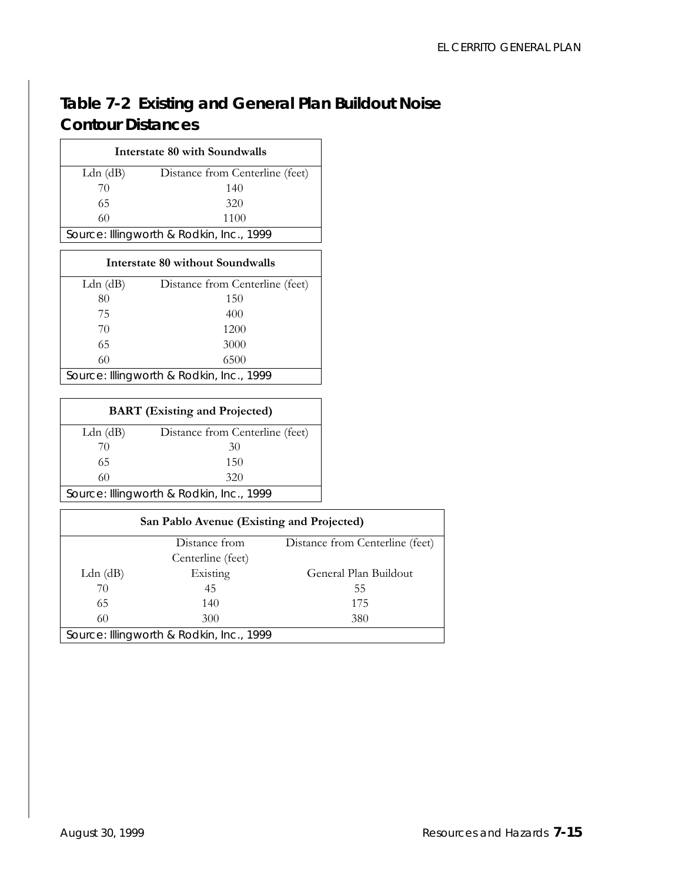## **Table 7-2 Existing and General Plan Buildout Noise Contour Distances**

| Interstate 80 with Soundwalls            |                                 |  |  |  |
|------------------------------------------|---------------------------------|--|--|--|
| Ldn $(dB)$                               | Distance from Centerline (feet) |  |  |  |
| 70                                       | 140                             |  |  |  |
| 65                                       | 320                             |  |  |  |
| 60                                       | 1100                            |  |  |  |
| Source: Illingworth & Rodkin, Inc., 1999 |                                 |  |  |  |

### **Interstate 80 without Soundwalls**  Ldn (dB) Distance from Centerline (feet) 80 150 75 400 70 1200 65 3000

60 6500 *Source: Illingworth & Rodkin, Inc., 1999*

| <b>BART</b> (Existing and Projected)     |                                 |  |  |  |
|------------------------------------------|---------------------------------|--|--|--|
| Ldn $(dB)$                               | Distance from Centerline (feet) |  |  |  |
| 70                                       | 30                              |  |  |  |
| 65                                       | 150                             |  |  |  |
| 60                                       | 320                             |  |  |  |
| Source: Illingworth & Rodkin, Inc., 1999 |                                 |  |  |  |

| San Pablo Avenue (Existing and Projected) |                   |                                 |  |  |
|-------------------------------------------|-------------------|---------------------------------|--|--|
|                                           | Distance from     | Distance from Centerline (feet) |  |  |
|                                           | Centerline (feet) |                                 |  |  |
| Ldn $(dB)$                                | Existing          | General Plan Buildout           |  |  |
| 70                                        | 45                | 55                              |  |  |
| 65                                        | 140               | 175                             |  |  |
| 60                                        | 300               | 380                             |  |  |
| Source: Illingworth & Rodkin, Inc., 1999  |                   |                                 |  |  |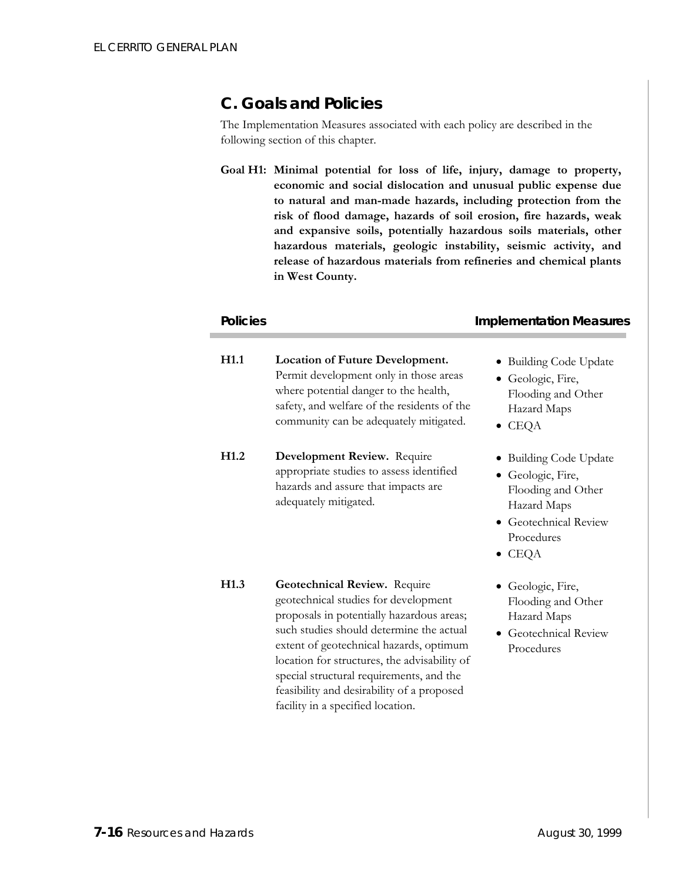## **C. Goals and Policies**

The Implementation Measures associated with each policy are described in the following section of this chapter.

**Goal H1: Minimal potential for loss of life, injury, damage to property, economic and social dislocation and unusual public expense due to natural and man-made hazards, including protection from the risk of flood damage, hazards of soil erosion, fire hazards, weak and expansive soils, potentially hazardous soils materials, other hazardous materials, geologic instability, seismic activity, and release of hazardous materials from refineries and chemical plants in West County.** 

#### **Policies Implementation Measures**

• Building Code Update

Flooding and Other Hazard Maps

• Building Code Update

Flooding and Other Hazard Maps

• Geologic, Fire,

• Geologic, Fire,

• CEQA

**H1.1 Location of Future Development.** Permit development only in those areas where potential danger to the health, safety, and welfare of the residents of the community can be adequately mitigated.

**H1.2 Development Review.** Require appropriate studies to assess identified hazards and assure that impacts are adequately mitigated.

- Geotechnical Review Procedures
- CEQA
- Geologic, Fire, Flooding and Other Hazard Maps
- Geotechnical Review Procedures
- **H1.3 Geotechnical Review.** Require geotechnical studies for development proposals in potentially hazardous areas; such studies should determine the actual extent of geotechnical hazards, optimum location for structures, the advisability of special structural requirements, and the feasibility and desirability of a proposed facility in a specified location.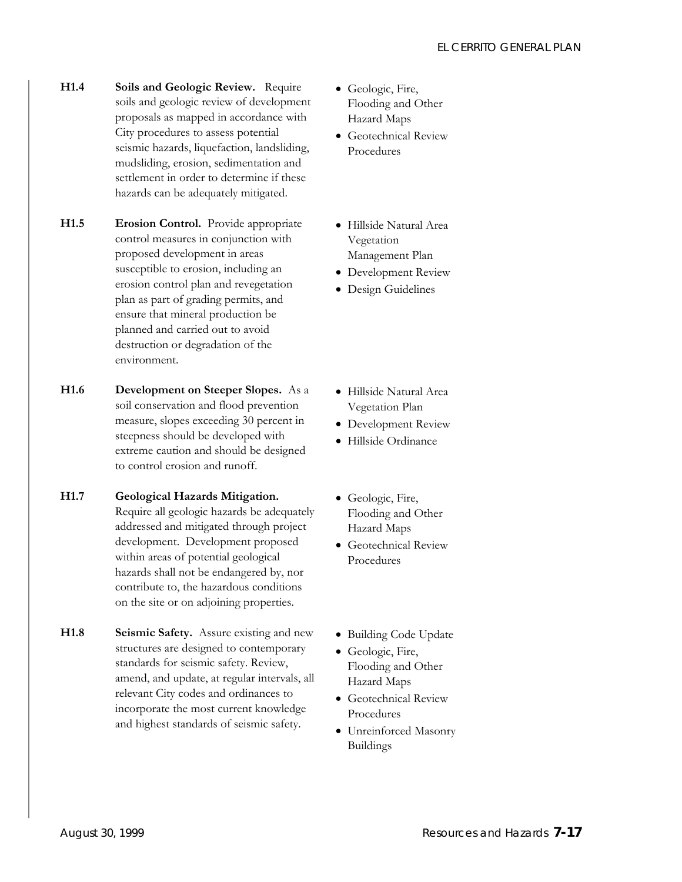- **H1.4 Soils and Geologic Review.** Require soils and geologic review of development proposals as mapped in accordance with City procedures to assess potential seismic hazards, liquefaction, landsliding, mudsliding, erosion, sedimentation and settlement in order to determine if these hazards can be adequately mitigated.
- **H1.5 Erosion Control.** Provide appropriate control measures in conjunction with proposed development in areas susceptible to erosion, including an erosion control plan and revegetation plan as part of grading permits, and ensure that mineral production be planned and carried out to avoid destruction or degradation of the environment.
- **H1.6 Development on Steeper Slopes.** As a soil conservation and flood prevention measure, slopes exceeding 30 percent in steepness should be developed with extreme caution and should be designed to control erosion and runoff.
- **H1.7 Geological Hazards Mitigation.**  Require all geologic hazards be adequately addressed and mitigated through project development. Development proposed within areas of potential geological hazards shall not be endangered by, nor contribute to, the hazardous conditions on the site or on adjoining properties.
- **H1.8 Seismic Safety.** Assure existing and new structures are designed to contemporary standards for seismic safety. Review, amend, and update, at regular intervals, all relevant City codes and ordinances to incorporate the most current knowledge and highest standards of seismic safety.
- Geologic, Fire, Flooding and Other Hazard Maps
- Geotechnical Review Procedures
- Hillside Natural Area Vegetation Management Plan
- Development Review
- Design Guidelines

- Hillside Natural Area Vegetation Plan
- Development Review
- Hillside Ordinance
- Geologic, Fire, Flooding and Other Hazard Maps
- Geotechnical Review Procedures
- Building Code Update
- Geologic, Fire, Flooding and Other Hazard Maps
- Geotechnical Review Procedures
- Unreinforced Masonry Buildings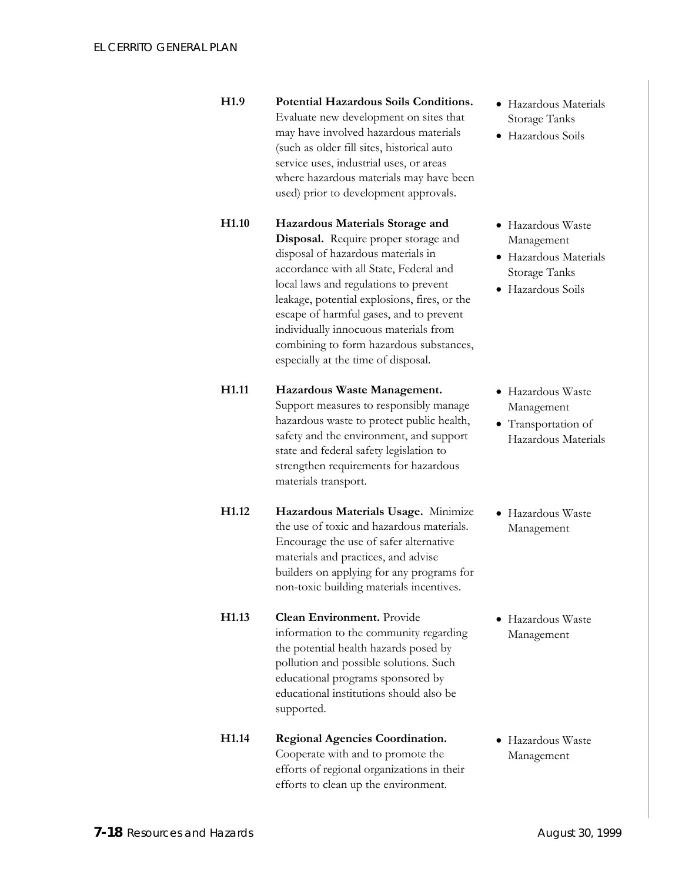- **H1.9 Potential Hazardous Soils Conditions.** Evaluate new development on sites that may have involved hazardous materials (such as older fill sites, historical auto service uses, industrial uses, or areas where hazardous materials may have been used) prior to development approvals.
- **H1.10 Hazardous Materials Storage and Disposal.** Require proper storage and disposal of hazardous materials in accordance with all State, Federal and local laws and regulations to prevent leakage, potential explosions, fires, or the escape of harmful gases, and to prevent individually innocuous materials from combining to form hazardous substances, especially at the time of disposal.

#### **H1.11 Hazardous Waste Management.** Support measures to responsibly manage hazardous waste to protect public health, safety and the environment, and support state and federal safety legislation to strengthen requirements for hazardous materials transport.

- **H1.12 Hazardous Materials Usage.** Minimize the use of toxic and hazardous materials. Encourage the use of safer alternative materials and practices, and advise builders on applying for any programs for non-toxic building materials incentives.
- **H1.13 Clean Environment.** Provide information to the community regarding the potential health hazards posed by pollution and possible solutions. Such educational programs sponsored by educational institutions should also be supported.

#### **H1.14 Regional Agencies Coordination.** Cooperate with and to promote the efforts of regional organizations in their efforts to clean up the environment.

- Hazardous Materials Storage Tanks
- Hazardous Soils
- Hazardous Waste Management
- Hazardous Materials Storage Tanks
- Hazardous Soils
- Hazardous Waste Management
- Transportation of Hazardous Materials
- Hazardous Waste Management
- Hazardous Waste Management

• Hazardous Waste Management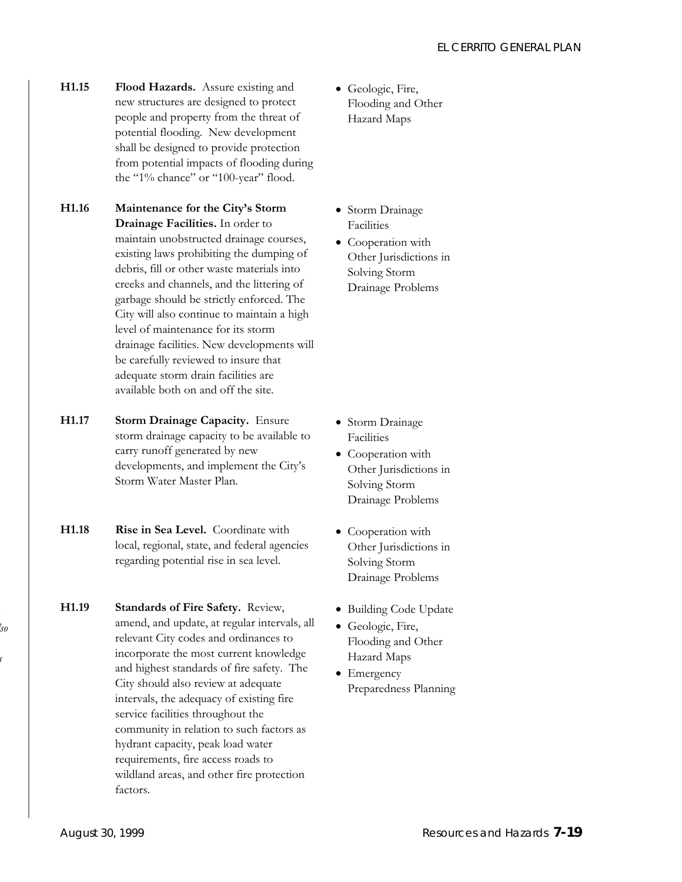- **H1.15 Flood Hazards.** Assure existing and new structures are designed to protect people and property from the threat of potential flooding. New development shall be designed to provide protection from potential impacts of flooding during the "1% chance" or "100-year" flood.
- **H1.16 Maintenance for the City's Storm Drainage Facilities.** In order to maintain unobstructed drainage courses, existing laws prohibiting the dumping of debris, fill or other waste materials into creeks and channels, and the littering of garbage should be strictly enforced. The City will also continue to maintain a high level of maintenance for its storm drainage facilities. New developments will be carefully reviewed to insure that adequate storm drain facilities are available both on and off the site.
- **H1.17 Storm Drainage Capacity.** Ensure storm drainage capacity to be available to carry runoff generated by new developments, and implement the City's Storm Water Master Plan.
- **H1.18 Rise in Sea Level.** Coordinate with local, regional, state, and federal agencies regarding potential rise in sea level.
- **H1.19 Standards of Fire Safety.** Review, amend, and update, at regular intervals, all relevant City codes and ordinances to incorporate the most current knowledge and highest standards of fire safety. The City should also review at adequate intervals, the adequacy of existing fire service facilities throughout the community in relation to such factors as hydrant capacity, peak load water requirements, fire access roads to wildland areas, and other fire protection factors.
- Geologic, Fire, Flooding and Other Hazard Maps
- Storm Drainage Facilities
- Cooperation with Other Jurisdictions in Solving Storm Drainage Problems

- Storm Drainage Facilities
- Cooperation with Other Jurisdictions in Solving Storm Drainage Problems
- Cooperation with Other Jurisdictions in Solving Storm Drainage Problems
- Building Code Update
- Geologic, Fire, Flooding and Other Hazard Maps
- Emergency Preparedness Planning

*lso* 

*s*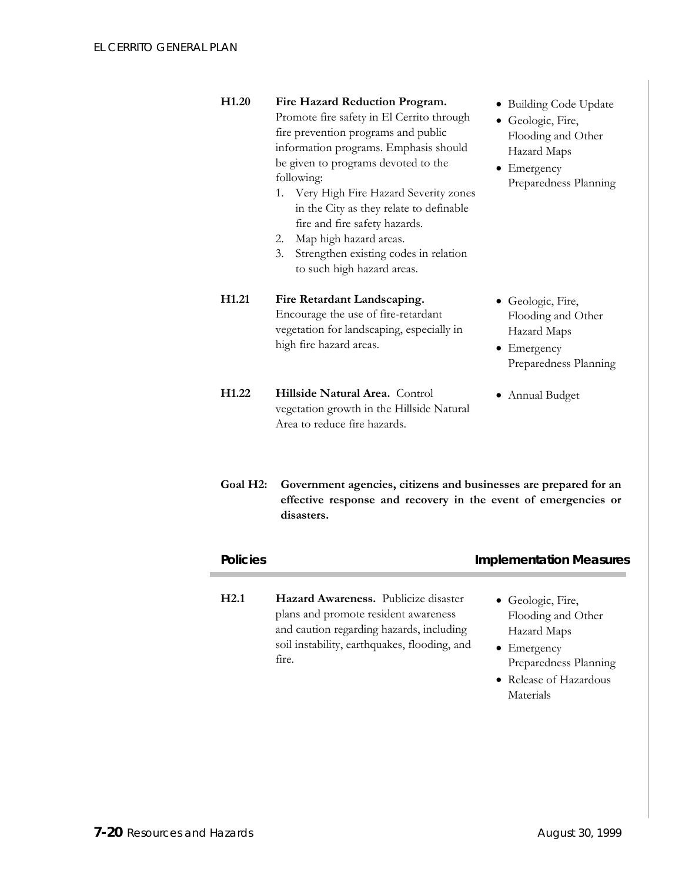| H <sub>1.20</sub>     | Fire Hazard Reduction Program.<br>Promote fire safety in El Cerrito through<br>fire prevention programs and public<br>information programs. Emphasis should<br>be given to programs devoted to the<br>following:<br>1. Very High Fire Hazard Severity zones<br>in the City as they relate to definable<br>fire and fire safety hazards.<br>2. Map high hazard areas.<br>Strengthen existing codes in relation<br>3.<br>to such high hazard areas. | • Building Code Update<br>• Geologic, Fire,<br>Flooding and Other<br>Hazard Maps<br>• Emergency<br>Preparedness Planning |
|-----------------------|---------------------------------------------------------------------------------------------------------------------------------------------------------------------------------------------------------------------------------------------------------------------------------------------------------------------------------------------------------------------------------------------------------------------------------------------------|--------------------------------------------------------------------------------------------------------------------------|
| H <sub>1.21</sub>     | Fire Retardant Landscaping.<br>Encourage the use of fire-retardant<br>vegetation for landscaping, especially in<br>high fire hazard areas.                                                                                                                                                                                                                                                                                                        | • Geologic, Fire,<br>Flooding and Other<br>Hazard Maps<br>• Emergency<br>Preparedness Planning                           |
| H <sub>1.22</sub>     | Hillside Natural Area. Control<br>vegetation growth in the Hillside Natural<br>Area to reduce fire hazards.                                                                                                                                                                                                                                                                                                                                       | • Annual Budget                                                                                                          |
| Goal H <sub>2</sub> : | Government agencies, citizens and businesses are prepared for an<br>effective response and recovery in the event of emergencies or<br>disasters.                                                                                                                                                                                                                                                                                                  |                                                                                                                          |
| <b>Policies</b>       |                                                                                                                                                                                                                                                                                                                                                                                                                                                   | <b>Implementation Measures</b>                                                                                           |
| H2.1                  | Hazard Awareness. Publicize disaster<br>plans and promote resident awareness<br>and caution regarding hazards, including<br>soil instability, earthquakes, flooding, and<br>fire.                                                                                                                                                                                                                                                                 | • Geologic, Fire,<br>Flooding and Other<br>Hazard Maps<br>• Emergency<br>Preparedness Planning                           |

• Release of Hazardous Materials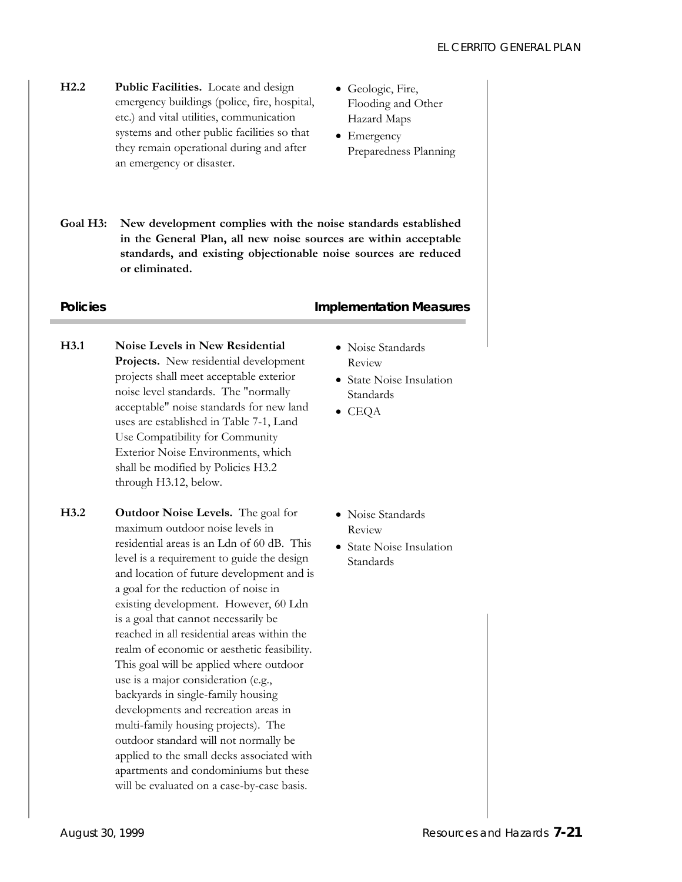- **H2.2 Public Facilities.** Locate and design emergency buildings (police, fire, hospital, etc.) and vital utilities, communication systems and other public facilities so that they remain operational during and after an emergency or disaster.
- Geologic, Fire, Flooding and Other Hazard Maps
- Emergency Preparedness Planning
- **Goal H3: New development complies with the noise standards established in the General Plan, all new noise sources are within acceptable standards, and existing objectionable noise sources are reduced or eliminated.**

#### **Policies Policies Policies Policies Policies Policies Policies Policies Policies Policies Policies**

- **H3.1 Noise Levels in New Residential Projects.** New residential development projects shall meet acceptable exterior noise level standards. The "normally acceptable" noise standards for new land uses are established in Table 7-1, Land Use Compatibility for Community Exterior Noise Environments, which shall be modified by Policies H3.2 through H3.12, below.
- **H3.2 Outdoor Noise Levels.** The goal for maximum outdoor noise levels in residential areas is an Ldn of 60 dB. This level is a requirement to guide the design and location of future development and is a goal for the reduction of noise in existing development. However, 60 Ldn is a goal that cannot necessarily be reached in all residential areas within the realm of economic or aesthetic feasibility. This goal will be applied where outdoor use is a major consideration (e.g., backyards in single-family housing developments and recreation areas in multi-family housing projects). The outdoor standard will not normally be applied to the small decks associated with apartments and condominiums but these will be evaluated on a case-by-case basis.
- Noise Standards Review
- State Noise Insulation Standards
- CEQA

- Noise Standards Review
- State Noise Insulation Standards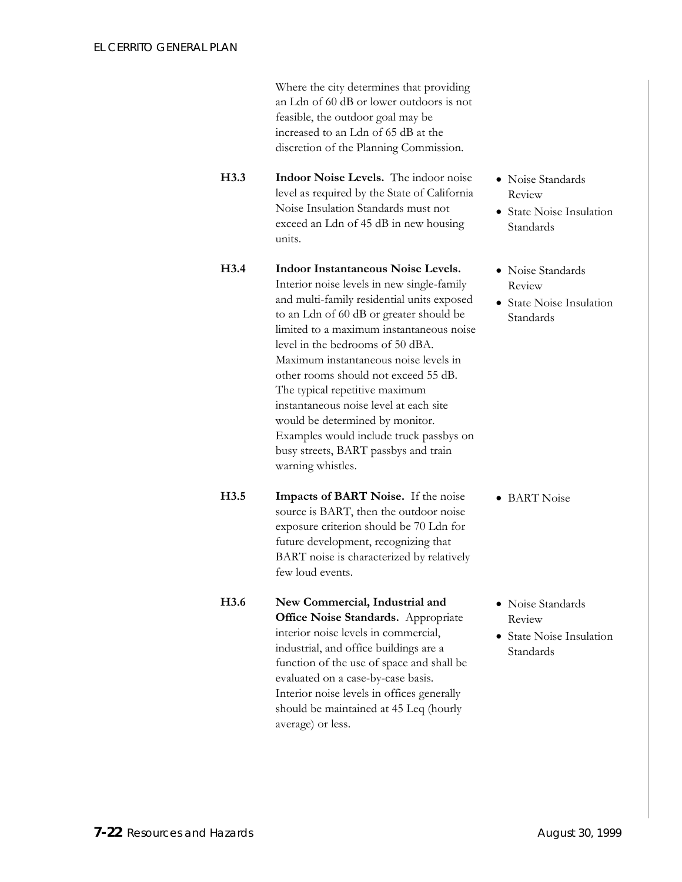Where the city determines that providing an Ldn of 60 dB or lower outdoors is not feasible, the outdoor goal may be increased to an Ldn of 65 dB at the discretion of the Planning Commission.

**H3.3 Indoor Noise Levels.** The indoor noise level as required by the State of California Noise Insulation Standards must not exceed an Ldn of 45 dB in new housing units.

- **H3.4 Indoor Instantaneous Noise Levels.**  Interior noise levels in new single-family and multi-family residential units exposed to an Ldn of 60 dB or greater should be limited to a maximum instantaneous noise level in the bedrooms of 50 dBA. Maximum instantaneous noise levels in other rooms should not exceed 55 dB. The typical repetitive maximum instantaneous noise level at each site would be determined by monitor. Examples would include truck passbys on busy streets, BART passbys and train warning whistles.
- **H3.5 Impacts of BART Noise.** If the noise source is BART, then the outdoor noise exposure criterion should be 70 Ldn for future development, recognizing that BART noise is characterized by relatively few loud events.
- **H3.6 New Commercial, Industrial and Office Noise Standards.** Appropriate interior noise levels in commercial, industrial, and office buildings are a function of the use of space and shall be evaluated on a case-by-case basis. Interior noise levels in offices generally should be maintained at 45 Leq (hourly average) or less.
- Noise Standards Review
- State Noise Insulation Standards
- Noise Standards Review
- State Noise Insulation Standards

• BART Noise

- Noise Standards Review
- State Noise Insulation Standards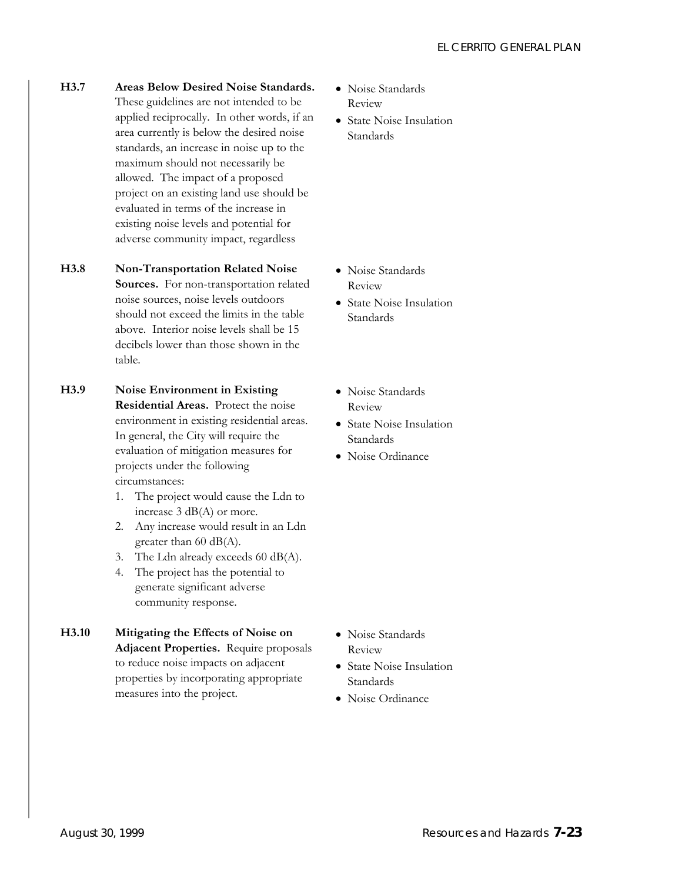- **H3.7 Areas Below Desired Noise Standards.**  These guidelines are not intended to be applied reciprocally. In other words, if an area currently is below the desired noise standards, an increase in noise up to the maximum should not necessarily be allowed. The impact of a proposed project on an existing land use should be evaluated in terms of the increase in existing noise levels and potential for adverse community impact, regardless
- **H3.8 Non-Transportation Related Noise Sources.** For non-transportation related noise sources, noise levels outdoors should not exceed the limits in the table above. Interior noise levels shall be 15 decibels lower than those shown in the table.
- **H3.9 Noise Environment in Existing Residential Areas.** Protect the noise environment in existing residential areas. In general, the City will require the evaluation of mitigation measures for projects under the following circumstances:
	- 1. The project would cause the Ldn to increase 3 dB(A) or more.
	- 2. Any increase would result in an Ldn greater than 60 dB(A).
	- 3. The Ldn already exceeds 60 dB(A).
	- 4. The project has the potential to generate significant adverse community response.
- **H3.10 Mitigating the Effects of Noise on Adjacent Properties.** Require proposals to reduce noise impacts on adjacent properties by incorporating appropriate measures into the project.
- Noise Standards Review
- State Noise Insulation Standards

- Noise Standards Review
- State Noise Insulation Standards
- Noise Standards Review
- State Noise Insulation Standards
- Noise Ordinance

- Noise Standards Review
- State Noise Insulation Standards
- Noise Ordinance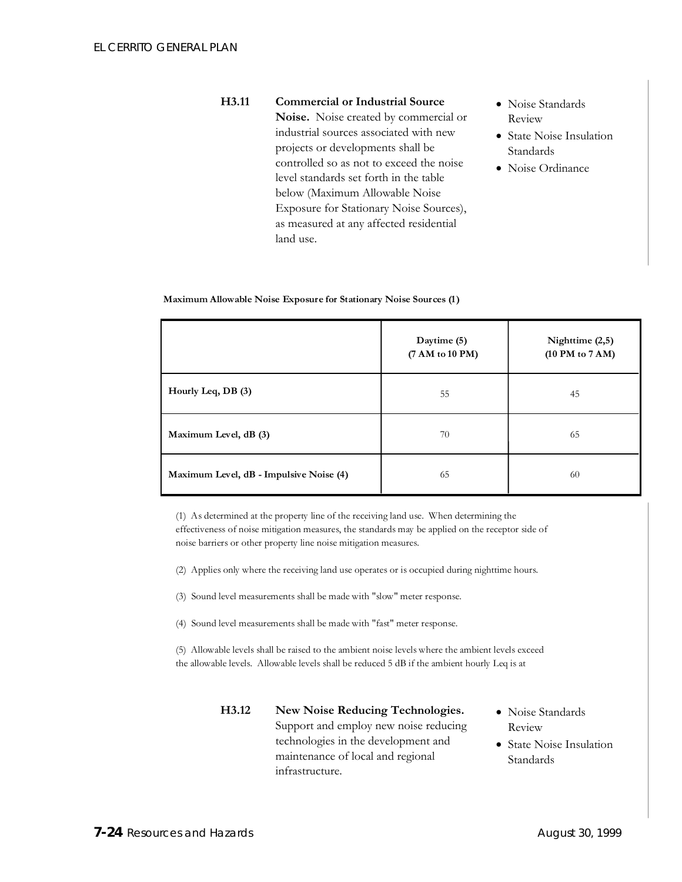#### **H3.11 Commercial or Industrial Source Noise.** Noise created by commercial or industrial sources associated with new projects or developments shall be controlled so as not to exceed the noise level standards set forth in the table below (Maximum Allowable Noise Exposure for Stationary Noise Sources), as measured at any affected residential land use.

- Noise Standards Review
- State Noise Insulation Standards
- Noise Ordinance

| Maximum Allowable Noise Exposure for Stationary Noise Sources (1) |  |  |
|-------------------------------------------------------------------|--|--|
|                                                                   |  |  |

|                                         | Daytime (5)<br>(7 AM to 10 PM) | Nighttime $(2,5)$<br>(10 PM to 7 AM) |
|-----------------------------------------|--------------------------------|--------------------------------------|
| Hourly Leq, DB (3)                      | 55                             | 45                                   |
| Maximum Level, dB (3)                   | 70                             | 65                                   |
| Maximum Level, dB - Impulsive Noise (4) | 65                             | 60                                   |

(1) As determined at the property line of the receiving land use. When determining the effectiveness of noise mitigation measures, the standards may be applied on the receptor side of noise barriers or other property line noise mitigation measures.

- (2) Applies only where the receiving land use operates or is occupied during nighttime hours.
- (3) Sound level measurements shall be made with "slow" meter response.
- (4) Sound level measurements shall be made with "fast" meter response.

(5) Allowable levels shall be raised to the ambient noise levels where the ambient levels exceed the allowable levels. Allowable levels shall be reduced 5 dB if the ambient hourly Leq is at

- **H3.12 New Noise Reducing Technologies.**  Support and employ new noise reducing technologies in the development and maintenance of local and regional infrastructure.
	- Noise Standards Review
	- State Noise Insulation Standards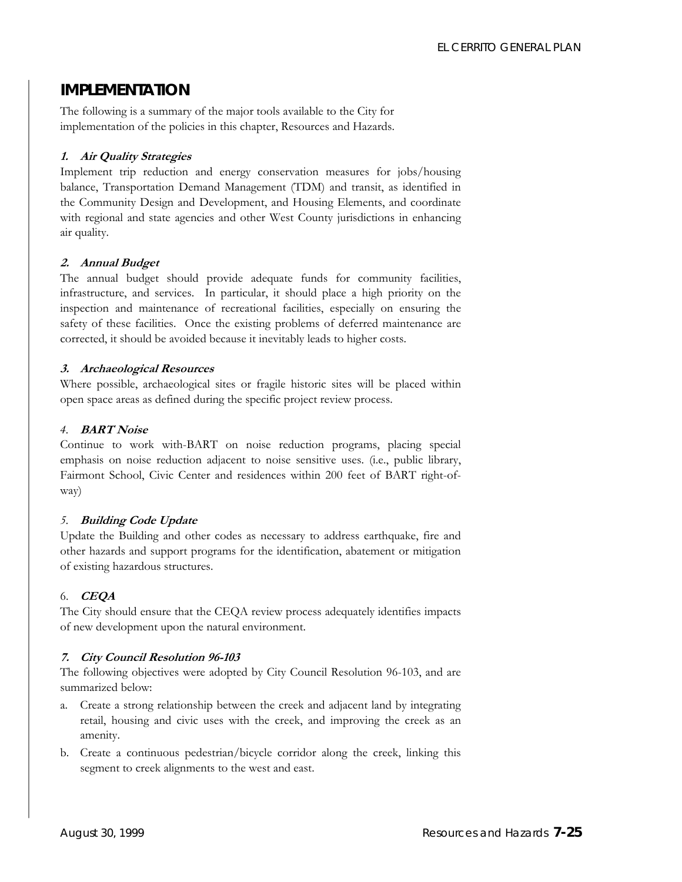## **IMPLEMENTATION**

The following is a summary of the major tools available to the City for implementation of the policies in this chapter, Resources and Hazards.

#### **1. Air Quality Strategies**

Implement trip reduction and energy conservation measures for jobs/housing balance, Transportation Demand Management (TDM) and transit, as identified in the Community Design and Development, and Housing Elements, and coordinate with regional and state agencies and other West County jurisdictions in enhancing air quality.

#### **2. Annual Budget**

The annual budget should provide adequate funds for community facilities, infrastructure, and services. In particular, it should place a high priority on the inspection and maintenance of recreational facilities, especially on ensuring the safety of these facilities. Once the existing problems of deferred maintenance are corrected, it should be avoided because it inevitably leads to higher costs.

#### **3. Archaeological Resources**

Where possible, archaeological sites or fragile historic sites will be placed within open space areas as defined during the specific project review process.

#### *4.* **BART Noise**

Continue to work with-BART on noise reduction programs, placing special emphasis on noise reduction adjacent to noise sensitive uses. (i.e., public library, Fairmont School, Civic Center and residences within 200 feet of BART right-ofway)

#### *5.* **Building Code Update**

Update the Building and other codes as necessary to address earthquake, fire and other hazards and support programs for the identification, abatement or mitigation of existing hazardous structures.

#### 6. **CEQA**

The City should ensure that the CEQA review process adequately identifies impacts of new development upon the natural environment.

#### **7. City Council Resolution 96-103**

The following objectives were adopted by City Council Resolution 96-103, and are summarized below:

- a. Create a strong relationship between the creek and adjacent land by integrating retail, housing and civic uses with the creek, and improving the creek as an amenity.
- b. Create a continuous pedestrian/bicycle corridor along the creek, linking this segment to creek alignments to the west and east.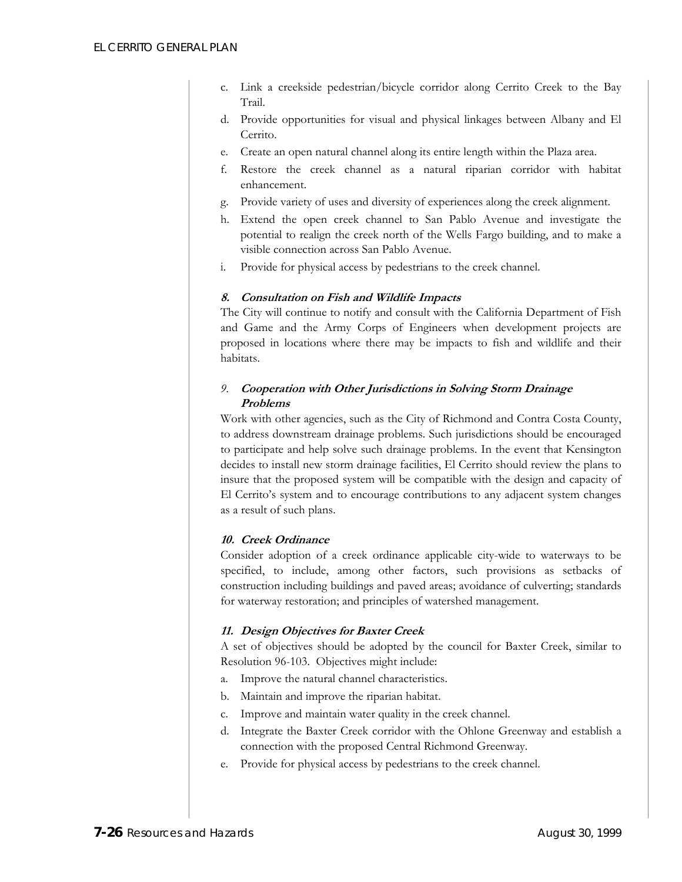- c. Link a creekside pedestrian/bicycle corridor along Cerrito Creek to the Bay Trail.
- d. Provide opportunities for visual and physical linkages between Albany and El Cerrito.
- e. Create an open natural channel along its entire length within the Plaza area.
- f. Restore the creek channel as a natural riparian corridor with habitat enhancement.
- g. Provide variety of uses and diversity of experiences along the creek alignment.
- h. Extend the open creek channel to San Pablo Avenue and investigate the potential to realign the creek north of the Wells Fargo building, and to make a visible connection across San Pablo Avenue.
- i. Provide for physical access by pedestrians to the creek channel.

#### **8. Consultation on Fish and Wildlife Impacts**

The City will continue to notify and consult with the California Department of Fish and Game and the Army Corps of Engineers when development projects are proposed in locations where there may be impacts to fish and wildlife and their habitats.

#### *9.* **Cooperation with Other Jurisdictions in Solving Storm Drainage Problems**

Work with other agencies, such as the City of Richmond and Contra Costa County, to address downstream drainage problems. Such jurisdictions should be encouraged to participate and help solve such drainage problems. In the event that Kensington decides to install new storm drainage facilities, El Cerrito should review the plans to insure that the proposed system will be compatible with the design and capacity of El Cerrito's system and to encourage contributions to any adjacent system changes as a result of such plans.

#### **10. Creek Ordinance**

Consider adoption of a creek ordinance applicable city-wide to waterways to be specified, to include, among other factors, such provisions as setbacks of construction including buildings and paved areas; avoidance of culverting; standards for waterway restoration; and principles of watershed management.

#### **11. Design Objectives for Baxter Creek**

A set of objectives should be adopted by the council for Baxter Creek, similar to Resolution 96-103. Objectives might include:

- a. Improve the natural channel characteristics.
- b. Maintain and improve the riparian habitat.
- c. Improve and maintain water quality in the creek channel.
- d. Integrate the Baxter Creek corridor with the Ohlone Greenway and establish a connection with the proposed Central Richmond Greenway.
- e. Provide for physical access by pedestrians to the creek channel.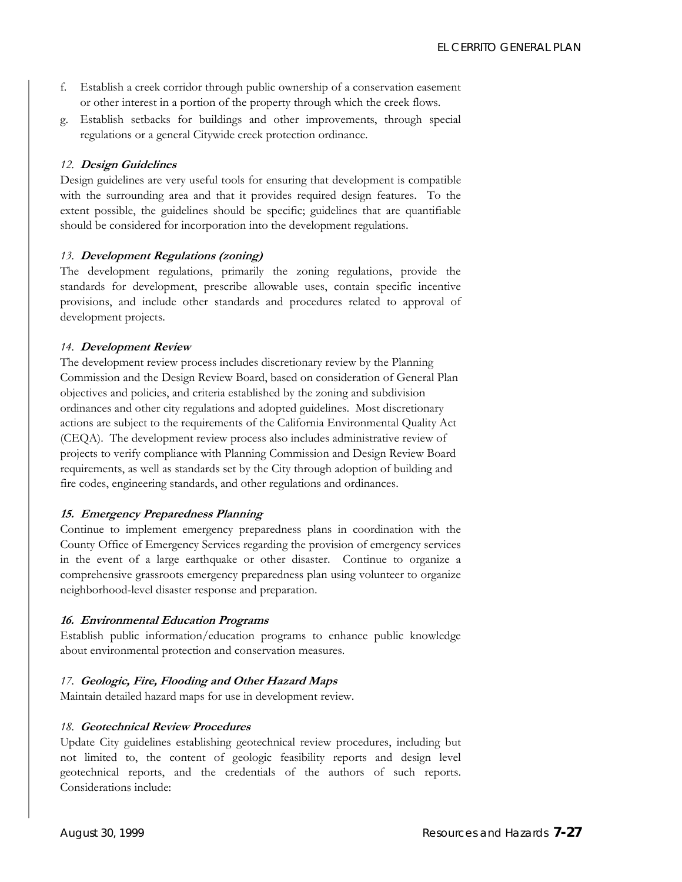- f. Establish a creek corridor through public ownership of a conservation easement or other interest in a portion of the property through which the creek flows.
- g. Establish setbacks for buildings and other improvements, through special regulations or a general Citywide creek protection ordinance.

#### *12.* **Design Guidelines**

Design guidelines are very useful tools for ensuring that development is compatible with the surrounding area and that it provides required design features. To the extent possible, the guidelines should be specific; guidelines that are quantifiable should be considered for incorporation into the development regulations.

#### *13.* **Development Regulations (zoning)**

The development regulations, primarily the zoning regulations, provide the standards for development, prescribe allowable uses, contain specific incentive provisions, and include other standards and procedures related to approval of development projects.

#### *14.* **Development Review**

The development review process includes discretionary review by the Planning Commission and the Design Review Board, based on consideration of General Plan objectives and policies, and criteria established by the zoning and subdivision ordinances and other city regulations and adopted guidelines. Most discretionary actions are subject to the requirements of the California Environmental Quality Act (CEQA). The development review process also includes administrative review of projects to verify compliance with Planning Commission and Design Review Board requirements, as well as standards set by the City through adoption of building and fire codes, engineering standards, and other regulations and ordinances.

#### **15. Emergency Preparedness Planning**

Continue to implement emergency preparedness plans in coordination with the County Office of Emergency Services regarding the provision of emergency services in the event of a large earthquake or other disaster. Continue to organize a comprehensive grassroots emergency preparedness plan using volunteer to organize neighborhood-level disaster response and preparation.

#### **16. Environmental Education Programs**

Establish public information/education programs to enhance public knowledge about environmental protection and conservation measures.

#### *17.* **Geologic, Fire, Flooding and Other Hazard Maps**

Maintain detailed hazard maps for use in development review.

#### *18.* **Geotechnical Review Procedures**

Update City guidelines establishing geotechnical review procedures, including but not limited to, the content of geologic feasibility reports and design level geotechnical reports, and the credentials of the authors of such reports. Considerations include: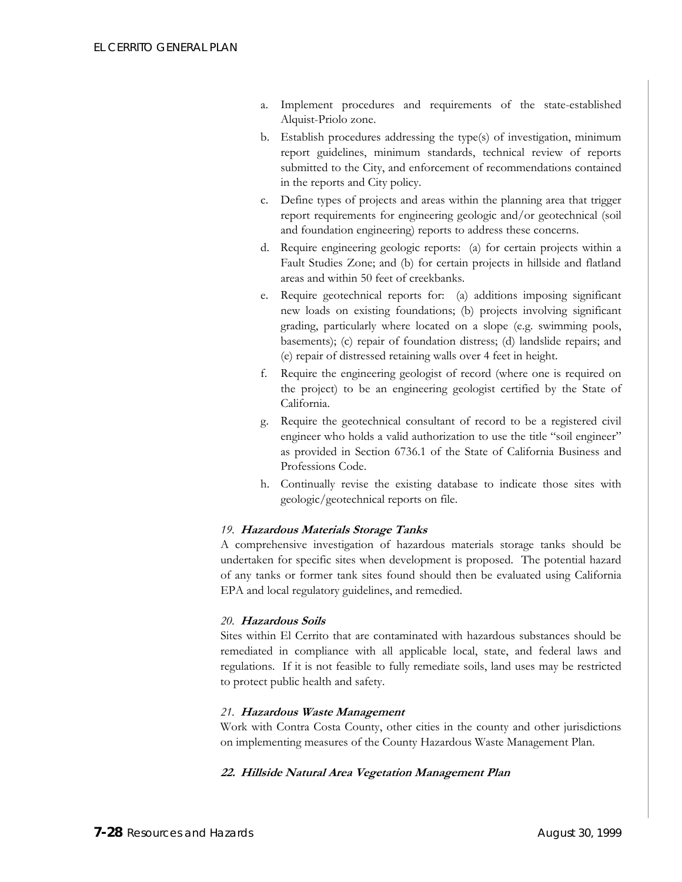- a. Implement procedures and requirements of the state-established Alquist-Priolo zone.
- b. Establish procedures addressing the type(s) of investigation, minimum report guidelines, minimum standards, technical review of reports submitted to the City, and enforcement of recommendations contained in the reports and City policy.
- c. Define types of projects and areas within the planning area that trigger report requirements for engineering geologic and/or geotechnical (soil and foundation engineering) reports to address these concerns.
- d. Require engineering geologic reports: (a) for certain projects within a Fault Studies Zone; and (b) for certain projects in hillside and flatland areas and within 50 feet of creekbanks.
- e. Require geotechnical reports for: (a) additions imposing significant new loads on existing foundations; (b) projects involving significant grading, particularly where located on a slope (e.g. swimming pools, basements); (c) repair of foundation distress; (d) landslide repairs; and (e) repair of distressed retaining walls over 4 feet in height.
- f. Require the engineering geologist of record (where one is required on the project) to be an engineering geologist certified by the State of California.
- g. Require the geotechnical consultant of record to be a registered civil engineer who holds a valid authorization to use the title "soil engineer" as provided in Section 6736.1 of the State of California Business and Professions Code.
- h. Continually revise the existing database to indicate those sites with geologic/geotechnical reports on file.

#### *19.* **Hazardous Materials Storage Tanks**

A comprehensive investigation of hazardous materials storage tanks should be undertaken for specific sites when development is proposed. The potential hazard of any tanks or former tank sites found should then be evaluated using California EPA and local regulatory guidelines, and remedied.

#### *20.* **Hazardous Soils**

Sites within El Cerrito that are contaminated with hazardous substances should be remediated in compliance with all applicable local, state, and federal laws and regulations. If it is not feasible to fully remediate soils, land uses may be restricted to protect public health and safety.

#### *21.* **Hazardous Waste Management**

Work with Contra Costa County, other cities in the county and other jurisdictions on implementing measures of the County Hazardous Waste Management Plan.

#### **22. Hillside Natural Area Vegetation Management Plan**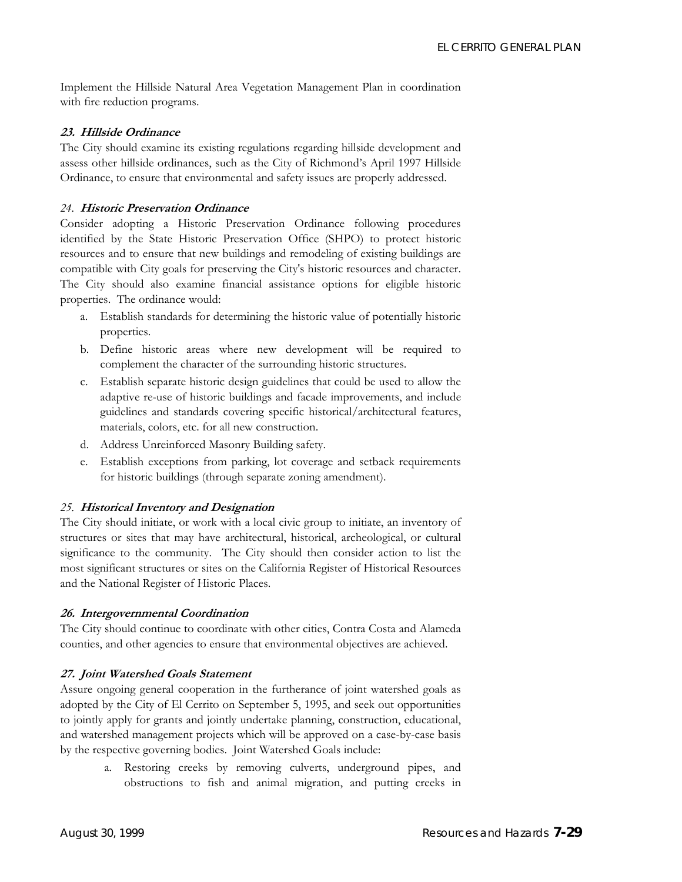Implement the Hillside Natural Area Vegetation Management Plan in coordination with fire reduction programs.

#### **23. Hillside Ordinance**

The City should examine its existing regulations regarding hillside development and assess other hillside ordinances, such as the City of Richmond's April 1997 Hillside Ordinance, to ensure that environmental and safety issues are properly addressed.

#### *24.* **Historic Preservation Ordinance**

Consider adopting a Historic Preservation Ordinance following procedures identified by the State Historic Preservation Office (SHPO) to protect historic resources and to ensure that new buildings and remodeling of existing buildings are compatible with City goals for preserving the City's historic resources and character. The City should also examine financial assistance options for eligible historic properties. The ordinance would:

- a. Establish standards for determining the historic value of potentially historic properties.
- b. Define historic areas where new development will be required to complement the character of the surrounding historic structures.
- c. Establish separate historic design guidelines that could be used to allow the adaptive re-use of historic buildings and facade improvements, and include guidelines and standards covering specific historical/architectural features, materials, colors, etc. for all new construction.
- d. Address Unreinforced Masonry Building safety.
- e. Establish exceptions from parking, lot coverage and setback requirements for historic buildings (through separate zoning amendment).

#### *25.* **Historical Inventory and Designation**

The City should initiate, or work with a local civic group to initiate, an inventory of structures or sites that may have architectural, historical, archeological, or cultural significance to the community. The City should then consider action to list the most significant structures or sites on the California Register of Historical Resources and the National Register of Historic Places.

#### **26. Intergovernmental Coordination**

The City should continue to coordinate with other cities, Contra Costa and Alameda counties, and other agencies to ensure that environmental objectives are achieved.

#### **27. Joint Watershed Goals Statement**

Assure ongoing general cooperation in the furtherance of joint watershed goals as adopted by the City of El Cerrito on September 5, 1995, and seek out opportunities to jointly apply for grants and jointly undertake planning, construction, educational, and watershed management projects which will be approved on a case-by-case basis by the respective governing bodies. Joint Watershed Goals include:

> a. Restoring creeks by removing culverts, underground pipes, and obstructions to fish and animal migration, and putting creeks in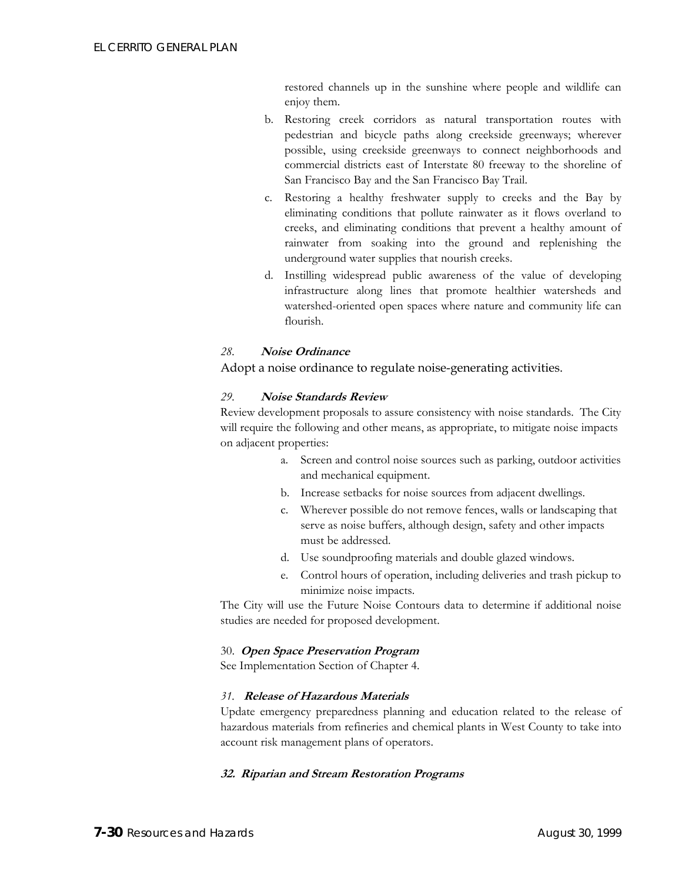restored channels up in the sunshine where people and wildlife can enjoy them.

- b. Restoring creek corridors as natural transportation routes with pedestrian and bicycle paths along creekside greenways; wherever possible, using creekside greenways to connect neighborhoods and commercial districts east of Interstate 80 freeway to the shoreline of San Francisco Bay and the San Francisco Bay Trail.
- c. Restoring a healthy freshwater supply to creeks and the Bay by eliminating conditions that pollute rainwater as it flows overland to creeks, and eliminating conditions that prevent a healthy amount of rainwater from soaking into the ground and replenishing the underground water supplies that nourish creeks.
- d. Instilling widespread public awareness of the value of developing infrastructure along lines that promote healthier watersheds and watershed-oriented open spaces where nature and community life can flourish.

#### *28.* **Noise Ordinance**

Adopt a noise ordinance to regulate noise-generating activities.

#### *29.* **Noise Standards Review**

Review development proposals to assure consistency with noise standards. The City will require the following and other means, as appropriate, to mitigate noise impacts on adjacent properties:

- a. Screen and control noise sources such as parking, outdoor activities and mechanical equipment.
- b. Increase setbacks for noise sources from adjacent dwellings.
- c. Wherever possible do not remove fences, walls or landscaping that serve as noise buffers, although design, safety and other impacts must be addressed.
- d. Use soundproofing materials and double glazed windows.
- e. Control hours of operation, including deliveries and trash pickup to minimize noise impacts.

The City will use the Future Noise Contours data to determine if additional noise studies are needed for proposed development.

#### 30. **Open Space Preservation Program**

See Implementation Section of Chapter 4.

#### *31.* **Release of Hazardous Materials**

Update emergency preparedness planning and education related to the release of hazardous materials from refineries and chemical plants in West County to take into account risk management plans of operators.

#### **32. Riparian and Stream Restoration Programs**